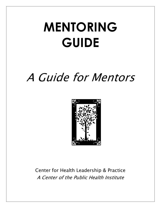# **MENTORING GUIDE**

## A Guide for Mentors



Center for Health Leadership & Practice A Center of the Public Health Institute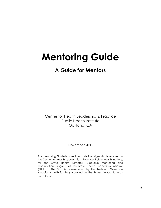## **Mentoring Guide**

## **A Guide for Mentors**

Center for Health Leadership & Practice Public Health Institute Oakland, CA

November 2003

This mentoring Guide is based on materials originally developed by the Center for Health Leadership & Practice, Public Health Institute, for the State Health Directors Executive Mentoring and Consultation Program of the State Health Leadership Initiative (SHLI). The SHLI is administered by the National Governors Association with funding provided by the Robert Wood Johnson Foundation.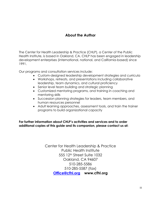## **About the Author**

The Center for Health Leadership & Practice (CHLP), a Center of the Public Health Institute, is based in Oakland, CA. CHLP has been engaged in leadership development enterprises (international, national, and California-based) since 1991.

Our programs and consultation services include:

- Custom-designed leadership development strategies and curricula
- Workshops, retreats, and presentations including collaborative leadership, team dynamics, and cultural proficiency
- Senior level team building and strategic planning
- Customized mentoring programs, and training in coaching and mentoring skills
- Succession planning strategies for leaders, team members, and human resources personnel
- Adult learning approaches, assessment tools, and train the trainer programs to build organizational capacity

**For further information about CHLP's activities and services and to order additional copies of this guide and its companion, please contact us at:**

> Center for Health Leadership & Practice Public Health Institute 555 12th Street Suite 1032 Oakland, CA 94607 510-285-5586 510-285-5587 (fax) **Office@cfhl.org www.cfhl.org**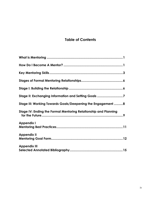## **Table of Contents**

| Stage II: Exchanging Information and Setting Goals 7            |
|-----------------------------------------------------------------|
| Stage III: Working Towards Goals/Deepening the Engagement 8     |
| Stage IV: Ending the Formal Mentoring Relationship and Planning |
| <b>Appendix I</b>                                               |
| <b>Appendix II</b>                                              |
| <b>Appendix III</b>                                             |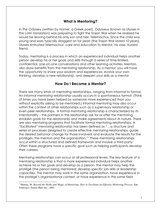#### **What is Mentoring?**

In *The Odyssey* (written by Homer, a Greek poet), Odysseus (known as Ulysses in the Latin translation) was preparing to fight the Trojan War when he realized he would be leaving behind his only son and heir, Telemachus. Since the child was young and wars typically dragged on for years (the Trojan War lasted 10 years), Ulysses entrusted Telemachus' care and education to Mentor, his wise, trusted friend.

Today, mentoring is a process in which an experienced individual helps another person develop his or her goals and skills through a series of time-limited, confidential, one-on-one conversations and other learning activities. Mentors also draw benefits from the mentoring relationship. As a mentor, you will have the opportunity to share your wisdom and experiences, evolve your own thinking, develop a new relationship, and deepen your skills as a mentor.

#### **How Do I Become a Mentor?**

There are many kinds of mentoring relationships, ranging from informal to formal. An *informal mentoring relationship* usually occurs in a spontaneous format. (Think of times you have been helped by someone more experienced than you without explicitly asking to be mentored.) Informal mentoring may also occur within the context of other relationships such as a supervisory relationship or even peer relationships. A *formal mentoring relationship* is characterized by its intentionality – the partners in the relationship ask for or offer the mentoring, establish goals for the relationship and make agreements about its nature. There are also mentoring programs that facilitate formal mentoring relationships. A *"facilitated" mentoring relationship* has been defined as "…a structure and series of processes designed to create effective mentoring relationships; guide the desired behavior change for those involved; and evaluate the results for the protégés, the mentors and the organization."1 These mentoring relationships occur within a structured and defined framework and involve a third party. Often these programs have a specific goal such as helping participants develop their careers.

Mentoring relationships can occur at all professional levels. The key feature of a mentoring relationship is that a more experienced individual helps another achieve his or her goals and develop as a person. The mentor may help the protégé (the person being mentored) develop specific job skills or leadership capacities. The mentor may work in the same organization, have experience in the protégé's organizational context, or have experience in the same field.

 $\overline{\phantom{a}}$ 

<sup>&</sup>lt;sup>1</sup> Murray, M. *Beyond the Myths and Magic of Mentoring: How to Facilitate an Effective Mentoring Process. San* Francisco: Jossey-Bass Inc., 2001.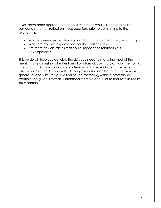If you have been approached to be a mentor, or would like to offer to be someone's mentor, reflect on these questions prior to committing to the relationship:

- What experiences and learning can I bring to the mentoring relationship?
- What are my own expectations for the relationship?
- Are there any obstacles that could impede the relationship's development?

This guide will help you develop the skills you need to make the most of the mentoring relationship, whether formal or informal. Use it to plan your mentoring interactions. (A companion guide, *Mentoring Guide: A Guide for Protégés,* is also available. See Appendix III.) Although mentors can be sought for various spheres of one's life, this guide focuses on mentoring within a professional context. The guide's format is intentionally simple and brief to facilitate its use by busy people.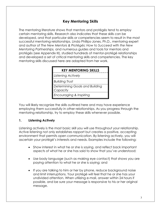## **Key Mentoring Skills**

The mentoring literature shows that mentors and protégés tend to employ certain mentoring skills. Research also indicates that these skills can be developed, and that particular skills or competencies seem to result in the most successful mentoring relationships. Linda Phillips-Jones, Ph.D., mentoring expert and author of *The New Mentors & Protégés: How to Succeed with the New Mentoring Partnerships,* and numerous guides and tools for mentors and protégés (see Appendix III), studied hundreds of mentor-protégé relationships and developed a set of critical mentoring skills and competencies. The key mentoring skills discussed here are adapted from her work.

### **KEY MENTORING SKILLS**

*Listening Actively* 

*Building Trust* 

*Determining Goals and Building* 

*Capacity* 

*Encouraging & Inspiring* 

You will likely recognize the skills outlined here and may have experience employing them successfully in other relationships. As you progress through the mentoring relationship, try to employ these skills whenever possible.

#### **1. Listening Actively**

Listening actively is the most basic skill you will use throughout your relationship. Active listening not only establishes rapport but creates a positive, accepting environment that permits open communication. By listening actively, you will ascertain your protégé's interests and needs. Examples include the following:

- Show interest in what he or she is saying, and reflect back important aspects of what he or she has said to show that you've understood;
- Use body language (such as making eye contact) that shows you are paying attention to what he or she is saying; and
- If you are talking to him or her by phone, reduce background noise and limit interruptions. Your protégé will feel that he or she has your undivided attention. When utilizing e-mail, answer within 24 hours if possible, and be sure your message is responsive to his or her original message.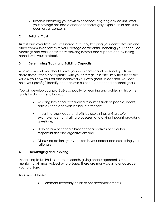• Reserve discussing your own experiences or giving advice until after your protégé has had a chance to thoroughly explain his or her issue, question, or concern.

#### **2. Building Trust**

Trust is built over time. You will increase trust by keeping your conversations and other communications with your protégé confidential, honoring your scheduled meetings and calls, consistently showing interest and support, and by being honest with your protégé.

#### **3. Determining Goals and Building Capacity**

As a role model, you should have your own career and personal goals and share these, when appropriate, with your protégé. It is also likely that he or she will ask you how you set and achieved your own goals. In addition, you can help your protégé identify and achieve his or her career and personal goals.

You will develop your protégé's capacity for learning and achieving his or her goals by doing the following:

- Assisting him or her with finding resources such as people, books, articles, tools and web-based information;
- Imparting knowledge and skills by explaining, giving useful examples, demonstrating processes, and asking thought-provoking questions;
- Helping him or her gain broader perspectives of his or her responsibilities and organization; and
- Discussing actions you've taken in your career and explaining your rationale.

#### **4. Encouraging and Inspiring**

According to Dr. Phillips-Jones' research, giving encouragement is the mentoring skill most valued by protégés. There are many ways to encourage your protégé.

Try some of these:

• Comment favorably on his or her accomplishments;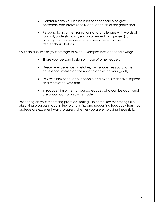- Communicate your belief in his or her capacity to grow personally and professionally and reach his or her goals; and
- Respond to his or her frustrations and challenges with words of support, understanding, encouragement and praise. (Just knowing that someone else has been there can be tremendously helpful.)

You can also inspire your protégé to excel. Examples include the following:

- Share your personal vision or those of other leaders;
- Describe experiences, mistakes, and successes you or others have encountered on the road to achieving your goals;
- Talk with him or her about people and events that have inspired and motivated you; and
- Introduce him or her to your colleagues who can be additional useful contacts or inspiring models.

Reflecting on your mentoring practice, noting use of the key mentoring skills, observing progress made in the relationship, and requesting feedback from your protégé are excellent ways to assess whether you are employing these skills.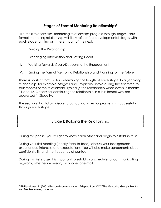## **Stages of Formal Mentoring Relationships2**

Like most relationships, mentoring relationships progress through stages. Your formal mentoring relationship will likely reflect four developmental stages with each stage forming an inherent part of the next:

- I. Building the Relationship
- II. Exchanging Information and Setting Goals
- III. Working Towards Goals/Deepening the Engagement
- IV. Ending the Formal Mentoring Relationship and Planning for the Future

There is no strict formula for determining the length of each stage. In a year-long relationship, for example, Stages I and II typically unfold during the first three to four months of the relationship. Typically, the relationship winds down in months 11 and 12. Options for continuing the relationship in a less formal way are addressed in Stage IV.

The sections that follow discuss practical activities for progressing successfully through each stage.

Stage I: Building the Relationship

During this phase, you will get to know each other and begin to establish trust.

During your first meeting (ideally face-to-face), discuss your backgrounds, experiences, interests, and expectations. You will also make agreements about confidentiality and the frequency of contact.

During this first stage, it is important to establish a schedule for communicating regularly, whether in-person, by phone, or e-mail.

 $\overline{a}$  $2$  Phillips-Jones, L. (2001) Personal communication. Adapted from CCC/The Mentoring Group's Mentor and Mentee training materials.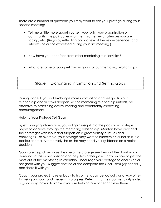There are a number of questions you may want to ask your protégé during your second meeting:

- Tell me a little more about yourself, your skills, your organization or community, the political environment, some key challenges you are facing, etc. (Begin by reflecting back a few of the key experiences and interests he or she expressed during your first meeting.)
- How have you benefited from other mentoring relationships?
- What are some of your preliminary goals for our mentoring relationship?

Stage II: Exchanging Information and Setting Goals

During Stage II, you will exchange more information and set goals. Your relationship and trust will deepen. As the mentoring relationship unfolds, be attentive to practicing active listening and consistently expressing encouragement.

#### Helping Your Protégé Set Goals:

By exchanging information, you will gain insight into the goals your protégé hopes to achieve through the mentoring relationship. Mentors have provided their protégés with input and support on a great variety of issues and challenges. For example, your protégé may want to improve his or her skills in a particular area. Alternatively, he or she may need your guidance on a major decision.

Goals are helpful because they help the protégé see beyond the day-to-day demands of his or her position and help him or her gain clarity on how to get the most out of the mentoring relationship. Encourage your protégé to discuss his or her goals with you. Suggest that he or she complete the Goal Form (Appendix II) and share it with you.

Coach your protégé to refer back to his or her goals periodically as a way of refocusing on goals and measuring progress. Referring to the goals regularly is also a good way for you to know if you are helping him or her achieve them.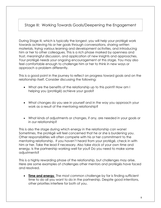Stage III: Working Towards Goals/Deepening the Engagement

During Stage III, which is typically the longest, you will help your protégé work towards achieving his or her goals through conversations, sharing written materials, trying various learning and development activities, and introducing him or her to other colleagues. This is a rich phase marked by openness and trust, meaningful discussion, and application of new insights and approaches. Your protégé needs your ongoing encouragement at this stage. You may also feel comfortable enough to challenge him or her to think in new ways or approach a problem differently.

This is a good point in the journey to reflect on progress toward goals and on the relationship itself. Consider discussing the following:

- What are the benefits of the relationship up to this point? How am I helping you (protégé) achieve your goals?
- What changes do you see in yourself and in the way you approach your work as a result of the mentoring relationship?
- What kinds of adjustments or changes, if any, are needed in your goals or in our relationship?

This is also the stage during which energy in the relationship can wane! Sometimes, the protégé will feel concerned that he or she is burdening you. Other responsibilities will often compete with his or her commitment to the mentoring relationship. If you haven't heard from your protégé, check in with him or her. Take the lead if necessary. Also take stock of your own time and energy. Is the partnership working well for you? Do you need to make some adjustments?

This is a highly rewarding phase of the relationship, but challenges may arise. Here are some examples of challenges other mentors and protégés have faced and resolved.

• **Time and energy**. The most common challenge by far is finding sufficient time to do all you want to do in the partnership. Despite good intentions, other priorities interfere for both of you.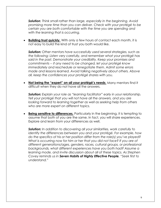*Solution: Think small rather than large, especially in the beginning. Avoid promising more time than you can deliver. Check with your protégé to be certain you are both comfortable with the time you are spending and with the learning that is occurring.* 

• **Building trust quickly**. With only a few hours of contact each month, it is not easy to build the kind of trust you both would like.

*Solution: Other mentors have successfully used several strategies, such as the following: Listen very carefully, and remember what your protégé has said in the past. Demonstrate your credibility. Keep your promises and commitments -- if any need to be changed, let your protégé know immediately and reschedule or renegotiate them. Admit some errors made and lessons learned. Avoid talking negatively about others. Above all, keep the confidences your protégé shares with you.* 

• **Not being the "expert" on all your protégé's needs**. Many mentors find it difficult when they do not have all the answers.

**Solution:** Explain your role as "learning facilitator" early in your relationship. *Tell your protégé that you will not have all the answers, and you are looking forward to learning together as well as seeking help from others who are more expert on different topics.* 

• **Being sensitive to differences.** Particularly in the beginning, it is tempting to assume that both of you are the same. In fact, you will share experiences. Explore and learn from your differences as well.

*Solution: In addition to discovering all your similarities, work carefully to identify the differences between you and your protégé. For example, how do the specifics of his or her position differ from the role(s) you've played? What is occurring now for him or her that you did not face? If you are of different generations/ages, genders, races, cultural groups, or professional backgrounds, what different experiences have you both had? Assume a learning mode, and invite discussion about all of these topics. As Stephen Covey reminds us in Seven Habits of Highly Effective People, "Seek first to understand."*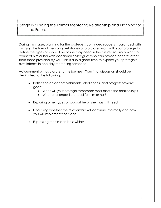Stage IV: Ending the Formal Mentoring Relationship and Planning for the Future

During this stage, planning for the protégé's continued success is balanced with bringing the formal mentoring relationship to a close. Work with your protégé to define the types of support he or she may need in the future. You may want to connect him or her with additional colleagues who can provide benefits other than those provided by you. This is also a good time to explore your protégé's own interest in one day mentoring someone.

Adjournment brings closure to the journey. Your final discussion should be dedicated to the following:

- Reflecting on accomplishments, challenges, and progress towards goals;
	- What will your protégé remember most about the relationship?
	- What challenges lie ahead for him or her?
- Exploring other types of support he or she may still need;
- Discussing whether the relationship will continue informally and how you will implement that; and
- Expressing thanks and best wishes!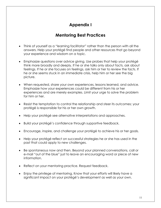## **Appendix I**

## **Mentoring Best Practices**

- Think of yourself as a "learning facilitator" rather than the person with all the answers. Help your protégé find people and other resources that go beyond your experience and wisdom on a topic.
- Emphasize questions over advice giving. Use probes that help your protégé think more broadly and deeply. If he or she talks only about facts, ask about feelings. If he or she focuses on feelings, ask him or her to review the facts. If he or she seems stuck in an immediate crisis, help him or her see the big picture.
- When requested, share your own experiences, lessons learned, and advice. Emphasize how your experiences could be different from his or her experiences and are merely examples. Limit your urge to solve the problem for him or her.
- Resist the temptation to control the relationship and steer its outcomes; your protégé is responsible for his or her own growth.
- Help your protégé see alternative interpretations and approaches.
- Build your protégé's confidence through supportive feedback.
- Encourage, inspire, and challenge your protégé to achieve his or her goals.
- Help your protégé reflect on successful strategies he or she has used in the past that could apply to new challenges.
- Be spontaneous now and then. Beyond your planned conversations, call or e-mail "out of the blue" just to leave an encouraging word or piece of new information.
- Reflect on your mentoring practice. Request feedback.
- Enjoy the privilege of mentoring. Know that your efforts will likely have a significant impact on your protégé's development as well as your own.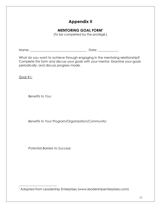## **Appendix II**

## **MENTORING GOAL FORM\***

(To be completed by the protégé.)

Name: \_\_\_\_\_\_\_\_\_\_\_\_\_\_\_\_\_\_\_\_\_\_\_\_\_\_\_\_\_\_\_\_\_\_\_\_ Date: \_\_\_\_\_\_\_\_\_\_\_\_\_

What do you want to achieve through engaging in the mentoring relationship? Complete this form and discuss your goals with your mentor. Examine your goals periodically, and discuss progress made.

*Goal #1:*

*Benefits to You:* 

*Benefits to Your Program/Organization/Community:* 

*Potential Barriers to Success:* 

l \* Adapted from Leadership Enterprises (www.leadershipenterprises.com)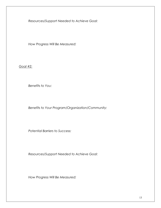*Resources/Support Needed to Achieve Goal:* 

*How Progress Will Be Measured:* 

*Goal #2:*

*Benefits to You:* 

*Benefits to Your Program/Organization/Community:*

*Potential Barriers to Success:* 

*Resources/Support Needed to Achieve Goal:* 

*How Progress Will Be Measured:*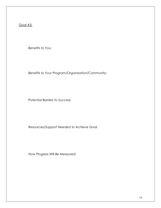*Goal #3:*

*Benefits to You:* 

*Benefits to Your Program/Organization/Community:*

*Potential Barriers to Success:* 

*Resources/Support Needed to Achieve Goal:* 

*How Progress Will Be Measured:*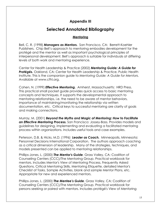## **Appendix III**

## **Selected Annotated Bibliography**

#### **Mentoring**

Bell, C. R. (1998) *Managers as Mentors.* San Francisco, CA: Berrett-Koehler Publishers. Chip Bell's approach to mentoring embodies development for the protégé and the mentor as well as important psychological principles of interpersonal development. Bell's approach is suitable for individuals at differing levels of both work and mentoring experience.

Center for Health Leadership & Practice (2002) *Mentoring Guide: A Guide for*  **Protégés.** Oakland, CA: Center for Health Leadership & Practice, Public Health Institute. This is the companion guide to *Mentoring Guide: A Guide for Mentors*. Available at www.cfhl.org.

Cohen, N. (1999) *Effective Mentoring.* Amherst, Massachusetts: HRD Press. This practical small pocket guide provides quick access to basic mentoring concepts and techniques. It supports the developmental approach to mentoring relationships, i.e. the need to be aware of mentor behaviors, importance of maintaining/monitoring the relationship via written documentation, etc. Critical keys to successful mentoring are clarity of goals and making connections.

Murray, M. (2001) *Beyond the Myths and Magic of Mentoring: How to Facilitate an Effective Mentoring Process.* San Francisco: Jossey-Bass. Provides models and guidelines for designing, implementing and evaluating a facilitated mentoring process within organizations. Includes useful tools and case examples.

Peterson, D.B. & Hicks, M.D. (1996) *Leader as Coach.* Minneapolis, Minnesota: Personnel Decisions International Corporation. The authors approach coaching as a critical dimension of leadership. Many of the strategies, techniques, and models presented can be applied to mentoring relationships.

Phillips-Jones, L. (2000) *The Mentor's Guide.* Grass Valley, CA: Coalition of Counseling Centers (CCC)/The Mentoring Group. Practical workbook for mentors. Includes Mentor's View of Mentoring Process, Frequently Asked Questions, Critical Mentoring Skills, Mentoring Etiquette, detailed Mentor's Checklist of Tasks, Sample Activities, blank and sample Mentor Plans, etc. Appropriate for new and experienced mentors.

Phillips-Jones, L. (2000) *The Mentee's Guide.* Grass Valley, CA: Coalition of Counseling Centers (CCC)/The Mentoring Group. Practical workbook for persons seeking or paired with mentors. Includes protégé's View of Mentoring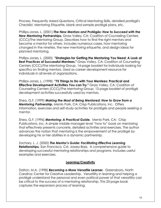Process, Frequently Asked Questions, Critical Mentoring Skills, detailed protégé's Checklist, Mentoring Etiquette, blank and sample protégé plans, etc.

Phillips-Jones, L. (2001) *The New Mentors and* **Protégé***s: How to Succeed with the New Mentoring Partnerships.* Grass Valley, CA: Coalition of Counseling Centers (CCC)/The Mentoring Group. Describes how to find the right mentors and become a mentor for others. Includes numerous cases, how mentoring changed in the nineties, the new mentoring etiquette, and design ideas for planned mentoring.

Phillips-Jones, L. (2000) **"Strategies for Getting the Mentoring You Need: A Look at Best Practices of Successful Mentees."** Grass Valley, CA: Coalition of Counseling Centers (CCC)/The Mentoring Group. 14-page booklet for individuals looking for specifics on finding mentors. Used as career development resource for individuals in all levels of organizations.

Phillips-Jones, L. (1998) **"75 Things to Do with Your Mentees: Practical and Effective Development Activities You can Try."** Grass Valley, CA: Coalition of Counseling Centers (CCC)/The Mentoring Group. 12-page booklet of protégé development activities successfully used by mentors.

Shea, G.F. (1999) *Making the Most of Being Mentored: How to Grow from a Mentoring Partnership.* Menlo Park, CA: Crisp Publications, Inc. Offers information, exercises and self-study activities for protégés and people seeking a mentor.

Shea, G.F. (1996) *Mentoring: A Practical Guide.* Menlo Park, CA: Crisp Publications, Inc. A simple middle manager level "how to" book on mentoring that effectively presents concrete, detailed activities and exercises. The author advances the notion that mentoring is the empowerment of the protégé by developing his or her abilities in a dynamic partnership.

Zachary, L. J. (2000) *The Mentor's Guide: Facilitating Effective Learning Relationships.* San Francisco, CA: Jossey-Bass. A comprehensive guide to developing successful mentoring relationships and programs. Includes useful examples and exercises.

#### **Learning/Creativity**

Dalton, M.A. (1998) *Becoming a More Versatile Learner.* Greensboro, North Carolina: Center for Creative Leadership. Versatility in learning and helping a protégé understand the personal and even political power of that versatility can be critical to the success of a mentoring relationship. This 25-page book captures the expansion process of learning.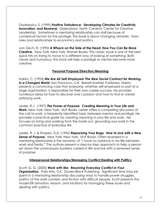Gryskiewicz, S. (1999) *Positive Turbulence: Developing Climates for Creativity,*  **Innovation, and Renewal.** Greensboro, North Carolina: Center for Creative Leadership. Sometimes a mentoring relationship can stall because of contextual factors for the protégé. This book is about changing climates - from roles and relationships to economics and politics.

von Oech, R. (1990) *A Whack on the Side of the Head: How You Can Be More Creative.* New York, New York: Warner Books. This classic book is one of the best quick hits on trying to move to a different way of looking at something. Both clever and humorous, this book will help a protégé or mentor become more creative.

#### **Personal Purpose/Direction/Meaning**

Hakim, C. (1994) *We Are All Self-Employed: The New Social Contract for Working in a Changed World.* San Francisco, CA: Berrett-Koehler Publishers. Hakim presents a convincing case that everyone, whether self-employed or part of a large organization, is responsible for their own career success. He provides numerous ideas for how to discover one's passion and how to find or create satisfying work.

Leider, R.J. (1997) *The Power of Purpose: Creating Meaning in Your Life and Work.* New York, New York: MJF Books. Leider offers a compelling discussion of the call to work, a frequently identified topic between mentor and protégé. He provides a practical guide for creating meaning in your life and work. He focuses on living and working from the inside out, grounding soul work in the common practice of everyday life.

Leider, R. J. & Shapiro, D.A. (1996) *Repacking Your Bags: How to Live with a New Sense of Purpose.* New York, New York: MJF Books. Often revealed in a mentoring relationship is the dynamic of "I have no balance in my life between work and family." The authors present a step-by-step approach to help a person set down the unnecessary burdens carried in life and live with a renewed sense of purpose.

#### **Interpersonal Relationships/Managing Conflict/Dealing with Politics**

Scott, G. G. (2000) *Work with Me: Resolving Everyday Conflict in Your* **Organization.** Palo Alto, CA: Davies-Black Publishing. Significant time may be spent in a mentoring relationship discussing ways to handle power struggles, politics of the work context, and friction with difficult people. Scott presents the model ERI (emotion, reason, and intuition) for managing these issues and dealing with politics.